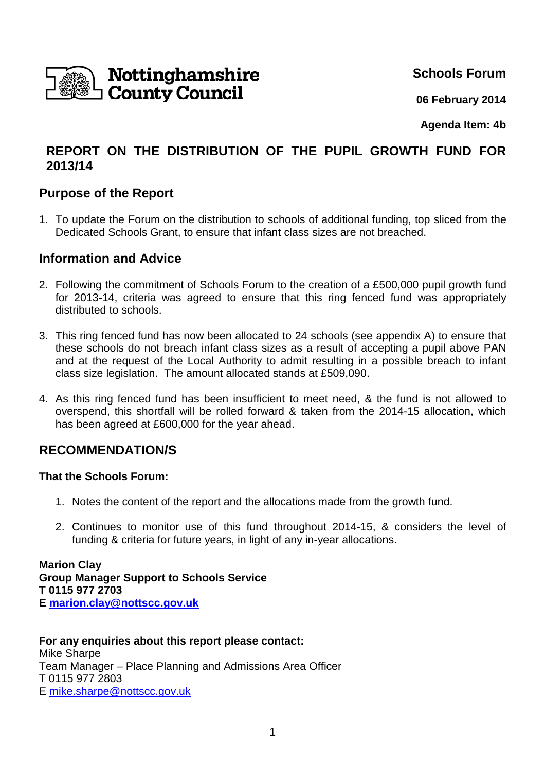

**Schools Forum**

**06 February 2014**

**Agenda Item: 4b**

# **REPORT ON THE DISTRIBUTION OF THE PUPIL GROWTH FUND FOR 2013/14**

### **Purpose of the Report**

1. To update the Forum on the distribution to schools of additional funding, top sliced from the Dedicated Schools Grant, to ensure that infant class sizes are not breached.

#### **Information and Advice**

- 2. Following the commitment of Schools Forum to the creation of a £500,000 pupil growth fund for 2013-14, criteria was agreed to ensure that this ring fenced fund was appropriately distributed to schools.
- 3. This ring fenced fund has now been allocated to 24 schools (see appendix A) to ensure that these schools do not breach infant class sizes as a result of accepting a pupil above PAN and at the request of the Local Authority to admit resulting in a possible breach to infant class size legislation. The amount allocated stands at £509,090.
- 4. As this ring fenced fund has been insufficient to meet need, & the fund is not allowed to overspend, this shortfall will be rolled forward & taken from the 2014-15 allocation, which has been agreed at £600,000 for the year ahead.

# **RECOMMENDATION/S**

#### **That the Schools Forum:**

- 1. Notes the content of the report and the allocations made from the growth fund.
- 2. Continues to monitor use of this fund throughout 2014-15, & considers the level of funding & criteria for future years, in light of any in-year allocations.

**Marion Clay Group Manager Support to Schools Service T 0115 977 2703 E marion.clay@nottscc.gov.uk**

**For any enquiries about this report please contact:** Mike Sharpe Team Manager – Place Planning and Admissions Area Officer T 0115 977 2803 E mike.sharpe@nottscc.gov.uk